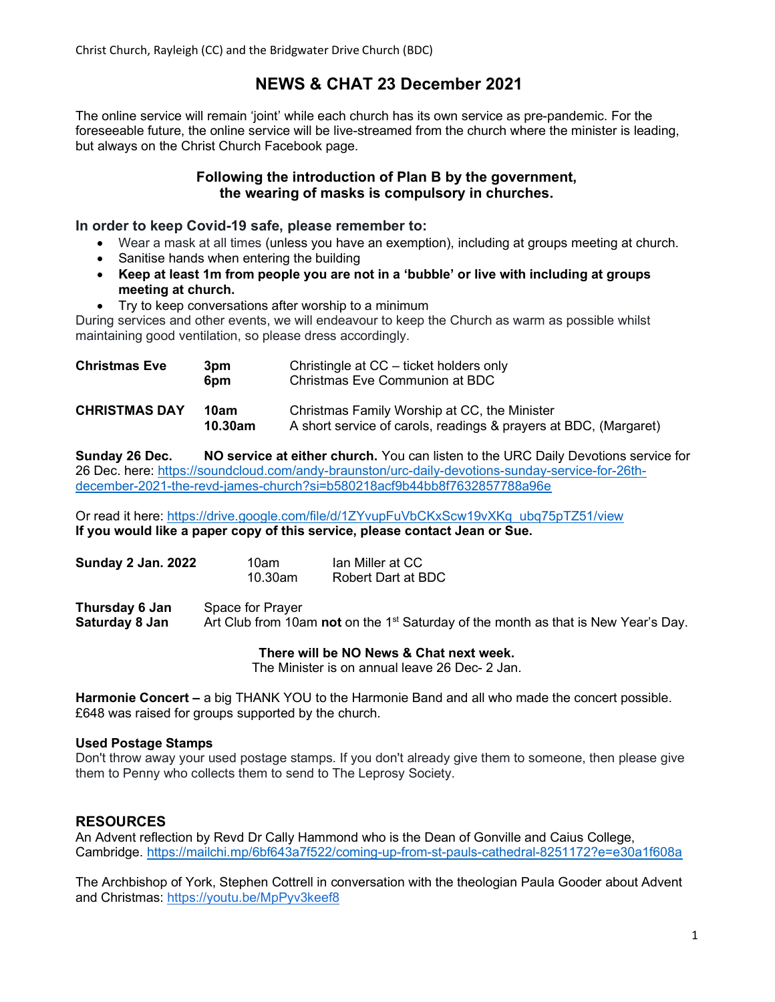# NEWS & CHAT 23 December 2021

The online service will remain 'joint' while each church has its own service as pre-pandemic. For the foreseeable future, the online service will be live-streamed from the church where the minister is leading, but always on the Christ Church Facebook page.

### Following the introduction of Plan B by the government, the wearing of masks is compulsory in churches.

#### In order to keep Covid-19 safe, please remember to:

- Wear a mask at all times (unless you have an exemption), including at groups meeting at church.
- Sanitise hands when entering the building
- Keep at least 1m from people you are not in a 'bubble' or live with including at groups meeting at church.
- Try to keep conversations after worship to a minimum

During services and other events, we will endeavour to keep the Church as warm as possible whilst maintaining good ventilation, so please dress accordingly.

| <b>Christmas Eve</b> | 3pm<br>6pm      | Christingle at CC – ticket holders only<br>Christmas Eve Communion at BDC                                        |
|----------------------|-----------------|------------------------------------------------------------------------------------------------------------------|
| <b>CHRISTMAS DAY</b> | 10am<br>10.30am | Christmas Family Worship at CC, the Minister<br>A short service of carols, readings & prayers at BDC, (Margaret) |

Sunday 26 Dec. NO service at either church. You can listen to the URC Daily Devotions service for 26 Dec. here: https://soundcloud.com/andy-braunston/urc-daily-devotions-sunday-service-for-26thdecember-2021-the-revd-james-church?si=b580218acf9b44bb8f7632857788a96e

Or read it here: https://drive.google.com/file/d/1ZYvupFuVbCKxScw19vXKq\_ubq75pTZ51/view If you would like a paper copy of this service, please contact Jean or Sue.

| <b>Sunday 2 Jan. 2022</b> | 10am    | Ian Miller at CC   |
|---------------------------|---------|--------------------|
|                           | 10.30am | Robert Dart at BDC |

Thursday 6 Jan Space for Prayer **Saturday 8 Jan** Art Club from 10am not on the 1<sup>st</sup> Saturday of the month as that is New Year's Day.

#### There will be NO News & Chat next week.

The Minister is on annual leave 26 Dec- 2 Jan.

Harmonie Concert – a big THANK YOU to the Harmonie Band and all who made the concert possible. £648 was raised for groups supported by the church.

#### Used Postage Stamps

Don't throw away your used postage stamps. If you don't already give them to someone, then please give them to Penny who collects them to send to The Leprosy Society.

# **RESOURCES**

An Advent reflection by Revd Dr Cally Hammond who is the Dean of Gonville and Caius College, Cambridge. https://mailchi.mp/6bf643a7f522/coming-up-from-st-pauls-cathedral-8251172?e=e30a1f608a

The Archbishop of York, Stephen Cottrell in conversation with the theologian Paula Gooder about Advent and Christmas: https://youtu.be/MpPyv3keef8